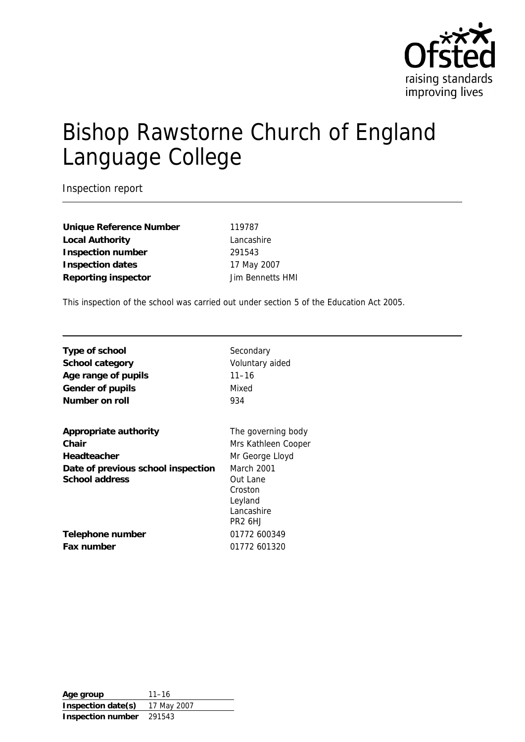

# Bishop Rawstorne Church of England Language College

Inspection report

**Unique Reference Number** 119787 **Local Authority** Lancashire **Inspection number** 291543 **Inspection dates** 17 May 2007 **Reporting inspector** Jim Bennetts HMI

This inspection of the school was carried out under section 5 of the Education Act 2005.

**Type of school** Secondary **School category** Voluntary aided **Age range of pupils** 11–16 Gender of pupils **Mixed** Number on roll 934

| Appropriate authority                                |
|------------------------------------------------------|
| Chair                                                |
| Headteacher                                          |
| Date of previous school inspection<br>School address |

**Telephone number** 01772 600349 **Fax number** 01772 601320

The governing body

**Mrs Kathleen Cooper Mr George Lloyd March 2001 Out Lane** Croston Leyland Lancashire PR2 6HJ

**Age group** 11–16 **Inspection date(s)** 17 May 2007 **Inspection number** 291543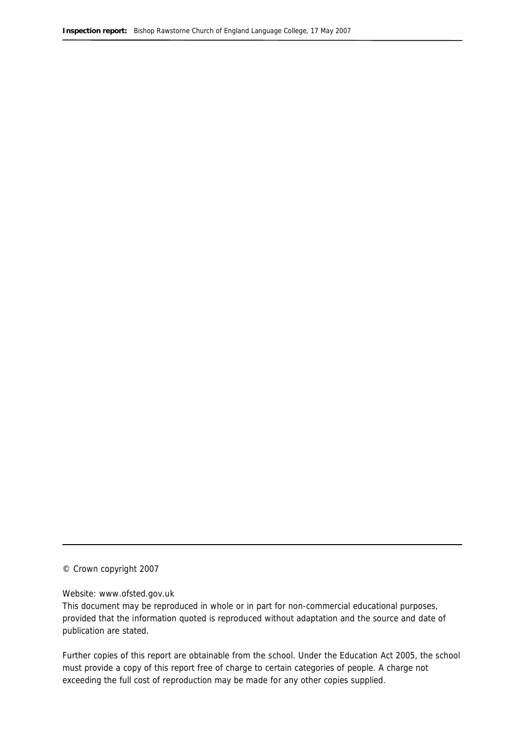© Crown copyright 2007

#### Website: www.ofsted.gov.uk

This document may be reproduced in whole or in part for non-commercial educational purposes, provided that the information quoted is reproduced without adaptation and the source and date of publication are stated.

Further copies of this report are obtainable from the school. Under the Education Act 2005, the school must provide a copy of this report free of charge to certain categories of people. A charge not exceeding the full cost of reproduction may be made for any other copies supplied.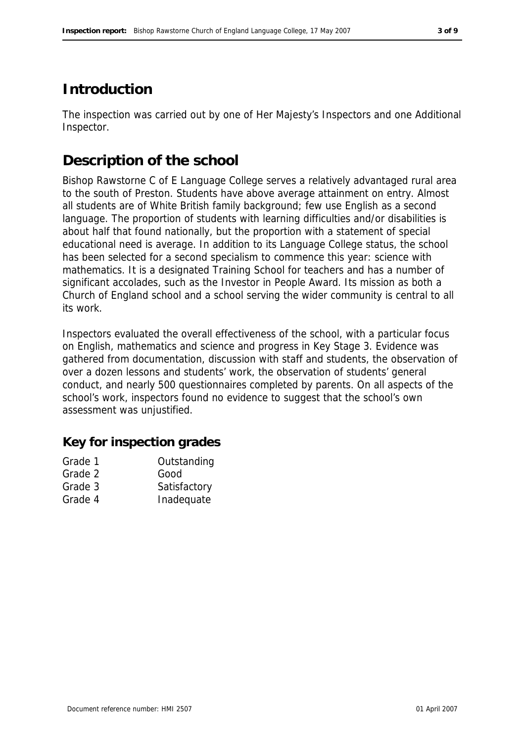# **Introduction**

The inspection was carried out by one of Her Majesty's Inspectors and one Additional Inspector.

# **Description of the school**

Bishop Rawstorne C of E Language College serves a relatively advantaged rural area to the south of Preston. Students have above average attainment on entry. Almost all students are of White British family background; few use English as a second language. The proportion of students with learning difficulties and/or disabilities is about half that found nationally, but the proportion with a statement of special educational need is average. In addition to its Language College status, the school has been selected for a second specialism to commence this year: science with mathematics. It is a designated Training School for teachers and has a number of significant accolades, such as the Investor in People Award. Its mission as both a Church of England school and a school serving the wider community is central to all its work.

Inspectors evaluated the overall effectiveness of the school, with a particular focus on English, mathematics and science and progress in Key Stage 3. Evidence was gathered from documentation, discussion with staff and students, the observation of over a dozen lessons and students' work, the observation of students' general conduct, and nearly 500 questionnaires completed by parents. On all aspects of the school's work, inspectors found no evidence to suggest that the school's own assessment was unjustified.

### **Key for inspection grades**

| Grade 1 | Outstanding  |
|---------|--------------|
| Grade 2 | Good         |
| Grade 3 | Satisfactory |
| Grade 4 | Inadequate   |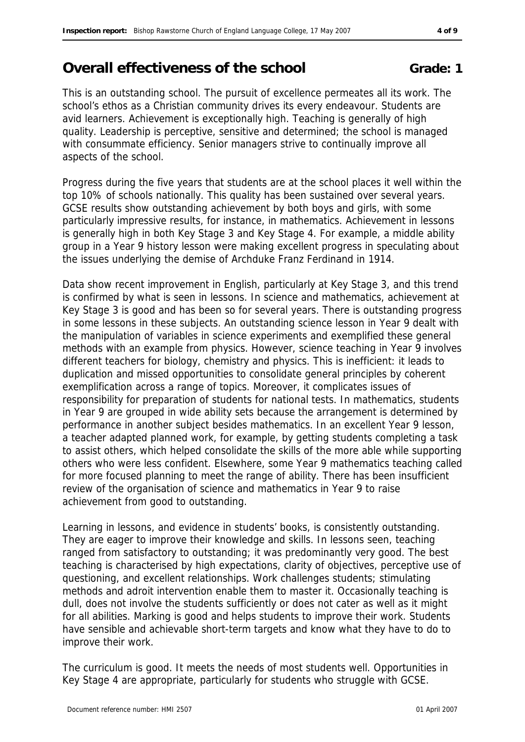# **Overall effectiveness of the school <b>Grade:** 1

This is an outstanding school. The pursuit of excellence permeates all its work. The school's ethos as a Christian community drives its every endeavour. Students are avid learners. Achievement is exceptionally high. Teaching is generally of high quality. Leadership is perceptive, sensitive and determined; the school is managed with consummate efficiency. Senior managers strive to continually improve all aspects of the school.

Progress during the five years that students are at the school places it well within the top 10% of schools nationally. This quality has been sustained over several years. GCSE results show outstanding achievement by both boys and girls, with some particularly impressive results, for instance, in mathematics. Achievement in lessons is generally high in both Key Stage 3 and Key Stage 4. For example, a middle ability group in a Year 9 history lesson were making excellent progress in speculating about the issues underlying the demise of Archduke Franz Ferdinand in 1914.

Data show recent improvement in English, particularly at Key Stage 3, and this trend is confirmed by what is seen in lessons. In science and mathematics, achievement at Key Stage 3 is good and has been so for several years. There is outstanding progress in some lessons in these subjects. An outstanding science lesson in Year 9 dealt with the manipulation of variables in science experiments and exemplified these general methods with an example from physics. However, science teaching in Year 9 involves different teachers for biology, chemistry and physics. This is inefficient: it leads to duplication and missed opportunities to consolidate general principles by coherent exemplification across a range of topics. Moreover, it complicates issues of responsibility for preparation of students for national tests. In mathematics, students in Year 9 are grouped in wide ability sets because the arrangement is determined by performance in another subject besides mathematics. In an excellent Year 9 lesson, a teacher adapted planned work, for example, by getting students completing a task to assist others, which helped consolidate the skills of the more able while supporting others who were less confident. Elsewhere, some Year 9 mathematics teaching called for more focused planning to meet the range of ability. There has been insufficient review of the organisation of science and mathematics in Year 9 to raise achievement from good to outstanding.

Learning in lessons, and evidence in students' books, is consistently outstanding. They are eager to improve their knowledge and skills. In lessons seen, teaching ranged from satisfactory to outstanding; it was predominantly very good. The best teaching is characterised by high expectations, clarity of objectives, perceptive use of questioning, and excellent relationships. Work challenges students; stimulating methods and adroit intervention enable them to master it. Occasionally teaching is dull, does not involve the students sufficiently or does not cater as well as it might for all abilities. Marking is good and helps students to improve their work. Students have sensible and achievable short-term targets and know what they have to do to improve their work.

The curriculum is good. It meets the needs of most students well. Opportunities in Key Stage 4 are appropriate, particularly for students who struggle with GCSE.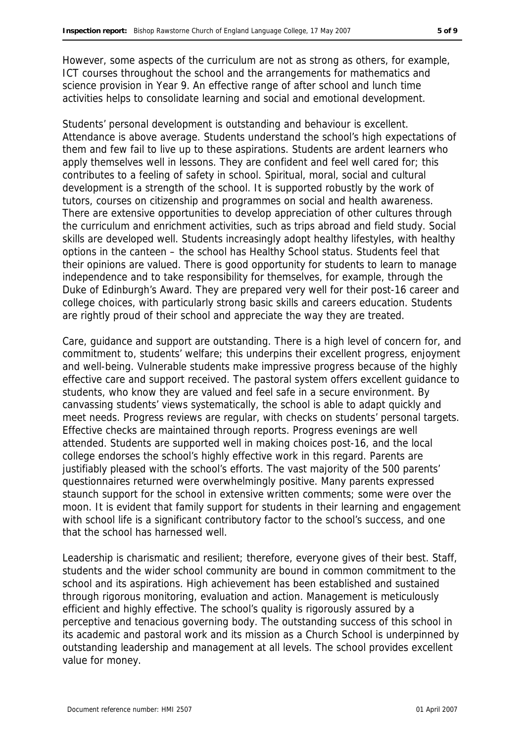However, some aspects of the curriculum are not as strong as others, for example, ICT courses throughout the school and the arrangements for mathematics and science provision in Year 9. An effective range of after school and lunch time activities helps to consolidate learning and social and emotional development.

Students' personal development is outstanding and behaviour is excellent. Attendance is above average. Students understand the school's high expectations of them and few fail to live up to these aspirations. Students are ardent learners who apply themselves well in lessons. They are confident and feel well cared for; this contributes to a feeling of safety in school. Spiritual, moral, social and cultural development is a strength of the school. It is supported robustly by the work of tutors, courses on citizenship and programmes on social and health awareness. There are extensive opportunities to develop appreciation of other cultures through the curriculum and enrichment activities, such as trips abroad and field study. Social skills are developed well. Students increasingly adopt healthy lifestyles, with healthy options in the canteen – the school has Healthy School status. Students feel that their opinions are valued. There is good opportunity for students to learn to manage independence and to take responsibility for themselves, for example, through the Duke of Edinburgh's Award. They are prepared very well for their post-16 career and college choices, with particularly strong basic skills and careers education. Students are rightly proud of their school and appreciate the way they are treated.

Care, guidance and support are outstanding. There is a high level of concern for, and commitment to, students' welfare; this underpins their excellent progress, enjoyment and well-being. Vulnerable students make impressive progress because of the highly effective care and support received. The pastoral system offers excellent guidance to students, who know they are valued and feel safe in a secure environment. By canvassing students' views systematically, the school is able to adapt quickly and meet needs. Progress reviews are regular, with checks on students' personal targets. Effective checks are maintained through reports. Progress evenings are well attended. Students are supported well in making choices post-16, and the local college endorses the school's highly effective work in this regard. Parents are justifiably pleased with the school's efforts. The vast majority of the 500 parents' questionnaires returned were overwhelmingly positive. Many parents expressed staunch support for the school in extensive written comments; some were over the moon. It is evident that family support for students in their learning and engagement with school life is a significant contributory factor to the school's success, and one that the school has harnessed well.

Leadership is charismatic and resilient; therefore, everyone gives of their best. Staff, students and the wider school community are bound in common commitment to the school and its aspirations. High achievement has been established and sustained through rigorous monitoring, evaluation and action. Management is meticulously efficient and highly effective. The school's quality is rigorously assured by a perceptive and tenacious governing body. The outstanding success of this school in its academic and pastoral work and its mission as a Church School is underpinned by outstanding leadership and management at all levels. The school provides excellent value for money.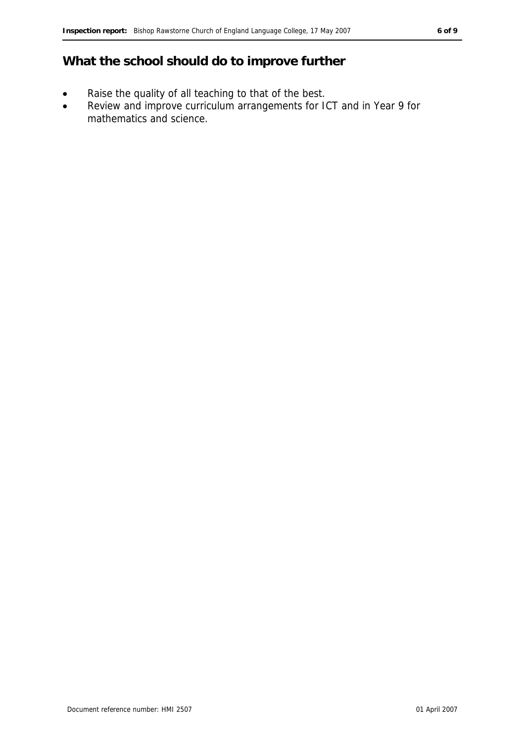### **What the school should do to improve further**

- Raise the quality of all teaching to that of the best.
- Review and improve curriculum arrangements for ICT and in Year 9 for mathematics and science.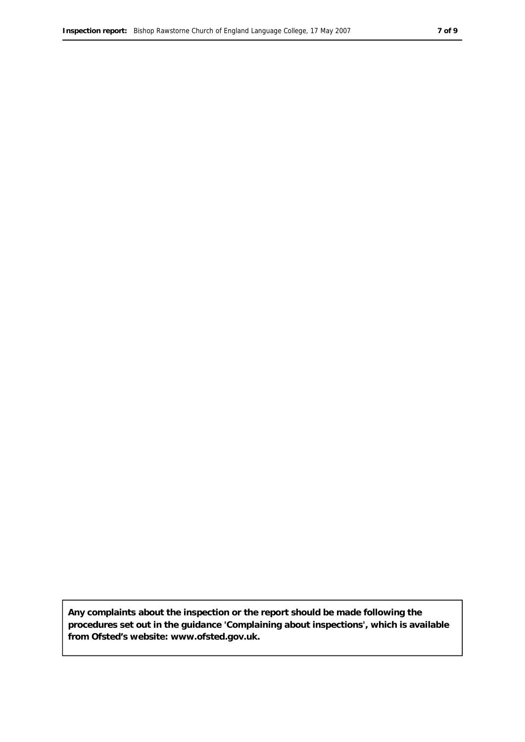**Any complaints about the inspection or the report should be made following the procedures set out in the guidance 'Complaining about inspections', which is available from Ofsted's website: www.ofsted.gov.uk.**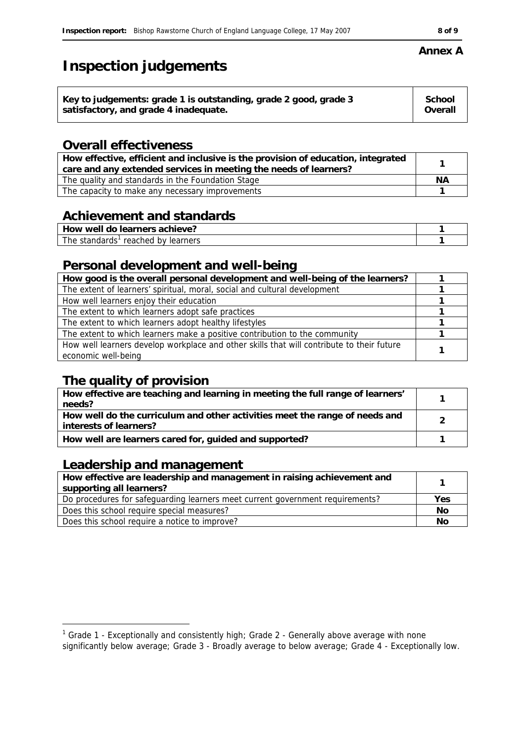# **Inspection judgements**

| Key to judgements: grade 1 is outstanding, grade 2 good, grade 3 | School  |
|------------------------------------------------------------------|---------|
| satisfactory, and grade 4 inadequate.                            | Overall |
|                                                                  |         |

### **Overall effectiveness**

| How effective, efficient and inclusive is the provision of education, integrated<br>care and any extended services in meeting the needs of learners? |    |
|------------------------------------------------------------------------------------------------------------------------------------------------------|----|
| The quality and standards in the Foundation Stage                                                                                                    | ΝA |
| The capacity to make any necessary improvements                                                                                                      |    |

### **Achievement and standards**

| $\sim$ $\sim$ $\sim$<br>$\sim$ $\sim$ $\sim$<br>ueve.<br>$ -$<br>a0<br>well<br>) VV<br>-11<br>⊶ |  |
|-------------------------------------------------------------------------------------------------|--|
| The T<br>.<br>פחµרי<br>rooch<br>-----<br>. .<br>ില്<br>וגםו<br>ലച<br>. і Я<br>,,,               |  |

### **Personal development and well-being**

| How good is the overall personal development and well-being of the learners?                                     |  |
|------------------------------------------------------------------------------------------------------------------|--|
| The extent of learners' spiritual, moral, social and cultural development                                        |  |
| How well learners enjoy their education                                                                          |  |
| The extent to which learners adopt safe practices                                                                |  |
| The extent to which learners adopt healthy lifestyles                                                            |  |
| The extent to which learners make a positive contribution to the community                                       |  |
| How well learners develop workplace and other skills that will contribute to their future<br>economic well-being |  |

### **The quality of provision**

| How effective are teaching and learning in meeting the full range of learners'<br>needs?              |  |
|-------------------------------------------------------------------------------------------------------|--|
| How well do the curriculum and other activities meet the range of needs and<br>interests of learners? |  |
| How well are learners cared for, guided and supported?                                                |  |

### **Leadership and management**

| How effective are leadership and management in raising achievement and<br>supporting all learners? |     |
|----------------------------------------------------------------------------------------------------|-----|
| Do procedures for safeguarding learners meet current government requirements?                      | Yes |
| Does this school require special measures?                                                         | No  |
| Does this school require a notice to improve?                                                      | No  |

#### **Annex A**

 1 Grade 1 - Exceptionally and consistently high; Grade 2 - Generally above average with none

significantly below average; Grade 3 - Broadly average to below average; Grade 4 - Exceptionally low.